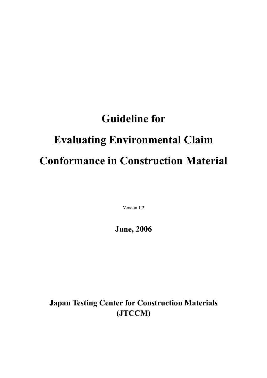# Guideline for Evaluating Environmental Claim Conformance in Construction Material

Version 1.2

June, 2006

Japan Testing Center for Construction Materials (JTCCM)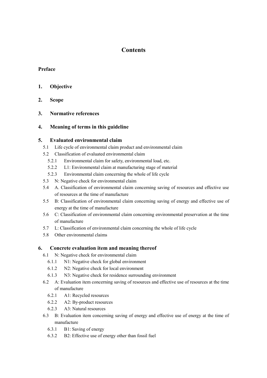# **Contents**

### Preface

### 1. Objective

- 2. Scope
- 3. Normative references

### 4. Meaning of terms in this guideline

#### 5. Evaluated environmental claim

- 5.1 Life cycle of environmental claim product and environmental claim
- 5.2 Classification of evaluated environmental claim
	- 5.2.1 Environmental claim for safety, environmental load, etc.
	- 5.2.2 L1: Environmental claim at manufacturing stage of material
	- 5.2.3 Environmental claim concerning the whole of life cycle
- 5.3 N: Negative check for environmental claim
- 5.4 A. Classification of environmental claim concerning saving of resources and effective use of resources at the time of manufacture
- 5.5 B: Classification of environmental claim concerning saving of energy and effective use of energy at the time of manufacture
- 5.6 C: Classification of environmental claim concerning environmental preservation at the time of manufacture
- 5.7 L: Classification of environmental claim concerning the whole of life cycle
- 5.8 Other environmental claims

#### 6. Concrete evaluation item and meaning thereof

- 6.1 N: Negative check for environmental claim
	- 6.1.1 N1: Negative check for global environment
	- 6.1.2 N2: Negative check for local environment
	- 6.1.3 N3: Negative check for residence surrounding environment
- 6.2 A: Evaluation item concerning saving of resources and effective use of resources at the time of manufacture
	- 6.2.1 A1: Recycled resources
	- 6.2.2 A2: By-product resources
	- 6.2.3 A3: Natural resources
- 6.3 B: Evaluation item concerning saving of energy and effective use of energy at the time of manufacture
	- 6.3.1 B1: Saving of energy
	- 6.3.2 B2: Effective use of energy other than fossil fuel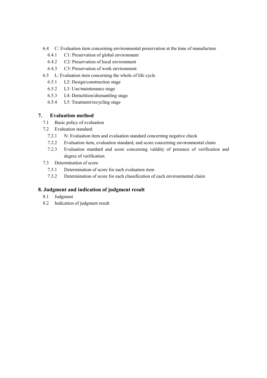- 6.4 C: Evaluation item concerning environmental preservation at the time of manufacture
	- 6.4.1 C1: Preservation of global environment
	- 6.4.2 C2: Preservation of local environment
	- 6.4.3 C3: Preservation of work environment
- 6.5 L: Evaluation item concerning the whole of life cycle
	- 6.5.1 L2: Design/construction stage
	- 6.5.2 L3: Use/maintenance stage
	- 6.5.3 L4: Demolition/dismantling stage
	- 6.5.4 L5: Treatment/recycling stage

# 7. Evaluation method

- 7.1 Basic policy of evaluation
- 7.2 Evaluation standard
	- 7.2.1 N: Evaluation item and evaluation standard concerning negative check
	- 7.2.2 Evaluation item, evaluation standard, and score concerning environmental claim
	- 7.2.3 Evaluation standard and score concerning validity of presence of verification and degree of verification
- 7.3 Determination of score
	- 7.3.1 Determination of score for each evaluation item
	- 7.3.2 Determination of score for each classification of each environmental claim

# 8. Judgment and indication of judgment result

- 8.1 Judgment
- 8.2 Indication of judgment result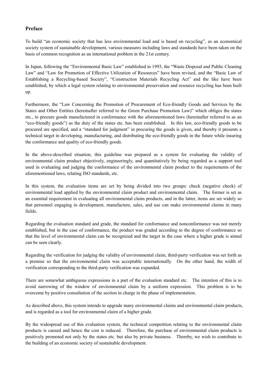# Preface

To build "an economic society that has less environmental load and is based on recycling", as an economical society system of sustainable development, various measures including laws and standards have been taken on the basis of common recognition as an international problem in the 21st century.

In Japan, following the "Environmental Basic Law" established in 1993, the "Waste Disposal and Public Cleaning Law" and "Law for Promotion of Effective Utilization of Resources" have been revised, and the "Basic Law of Establishing a Recycling-based Society", "Construction Materials Recycling Act" and the like have been established, by which a legal system relating to environmental preservation and resource recycling has been built up.

Furthermore, the "Law Concerning the Promotion of Procurement of Eco-friendly Goods and Services by the States and Other Entities (hereinafter referred to the Green Purchase Promotion Law)" which obliges the states etc., to procure goods manufactured in conformance with the aforementioned laws (hereinafter referred to as an "eco-friendly goods") as the duty of the states etc. has been established. In this law, eco-friendly goods to be procured are specified, and a "standard for judgment" in procuring the goods is given, and thereby it presents a technical target in developing, manufacturing, and distributing the eco-friendly goods in the future while insuring the conformance and quality of eco-friendly goods.

In the above-described situation, this guideline was prepared as a system for evaluating the validity of environmental claim product objectively, engineeringly, and quantitatively by being regarded as a support tool used in evaluating and judging the conformance of the environmental claim product to the requirements of the aforementioned laws, relating ISO standards, etc.

In this system, the evaluation items are set by being divided into two groups: check (negative check) of environmental load applied by the environmental claim product and environmental claim. The former is set as an essential requirement in evaluating all environmental claim products, and in the latter, items are set widely so that personnel engaging in development, manufacture, sales, and use can make environmental claims in many fields.

Regarding the evaluation standard and grade, the standard for conformance and nonconformance was not merely established, but in the case of conformance, the product was graded according to the degree of conformance so that the level of environmental claim can be recognized and the target in the case where a higher grade is aimed can be seen clearly.

Regarding the verification for judging the validity of environmental claim, third-party verification was set forth as a premise so that the environmental claim was acceptable internationally. On the other hand, the width of verification corresponding to the third-party verification was expanded.

There are somewhat ambiguous expressions in a part of the evaluation standard etc. The intention of this is to avoid narrowing of the window of environmental claim by a uniform expression. This problem is to be overcome by positive consultation of the section in charge in the phase of implementation.

As described above, this system intends to upgrade many environmental claims and environmental claim products, and is regarded as a tool for environmental claim of a higher grade.

By the widespread use of this evaluation system, the technical competition relating to the environmental claim products is caused and hence the cost is reduced. Therefore, the purchase of environmental claim products is positively promoted not only by the states etc. but also by private business. Thereby, we wish to contribute to the building of an economic society of sustainable development.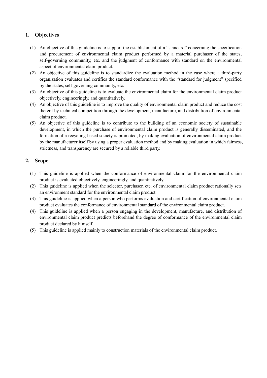# 1. Objectives

- (1) An objective of this guideline is to support the establishment of a "standard" concerning the specification and procurement of environmental claim product performed by a material purchaser of the states, self-governing community, etc. and the judgment of conformance with standard on the environmental aspect of environmental claim product.
- (2) An objective of this guideline is to standardize the evaluation method in the case where a third-party organization evaluates and certifies the standard conformance with the "standard for judgment" specified by the states, self-governing community, etc.
- (3) An objective of this guideline is to evaluate the environmental claim for the environmental claim product objectively, engineeringly, and quantitatively.
- (4) An objective of this guideline is to improve the quality of environmental claim product and reduce the cost thereof by technical competition through the development, manufacture, and distribution of environmental claim product.
- (5) An objective of this guideline is to contribute to the building of an economic society of sustainable development, in which the purchase of environmental claim product is generally disseminated, and the formation of a recycling-based society is promoted, by making evaluation of environmental claim product by the manufacturer itself by using a proper evaluation method and by making evaluation in which fairness, strictness, and transparency are secured by a reliable third party.

### 2. Scope

- (1) This guideline is applied when the conformance of environmental claim for the environmental claim product is evaluated objectively, engineeringly, and quantitatively.
- (2) This guideline is applied when the selector, purchaser, etc. of environmental claim product rationally sets an environment standard for the environmental claim product.
- (3) This guideline is applied when a person who performs evaluation and certification of environmental claim product evaluates the conformance of environmental standard of the environmental claim product.
- (4) This guideline is applied when a person engaging in the development, manufacture, and distribution of environmental claim product predicts beforehand the degree of conformance of the environmental claim product declared by himself.
- (5) This guideline is applied mainly to construction materials of the environmental claim product.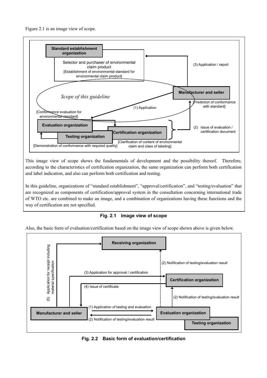



This image view of scope shows the fundamentals of development and the possibility thereof. Therefore, according to the characteristics of certification organization, the same organization can perform both certification and label indication, and also can perform both certification and testing.

In this guideline, organizations of "standard establishment", "approval/certification", and "testing/evaluation" that are recognized as components of certification/approval system in the consultation concerning international trade of WTO etc. are combined to make an image, and a combination of organizations having these functions and the way of certification are not specified.

Fig. 2.1 Image view of scope

Also, the basic form of evaluation/certification based on the image view of scope shown above is given below.



Fig. 2.2 Basic form of evaluation/certification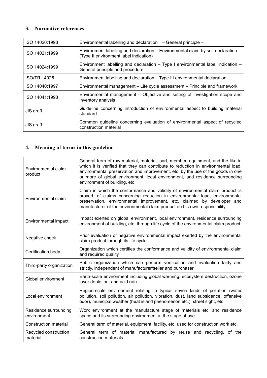# 3. Normative references

| ISO 14020:1998      | Environmental labelling and declaration – General principle –                                                             |
|---------------------|---------------------------------------------------------------------------------------------------------------------------|
| ISO 14021:1999      | Environment labelling and declaration – Environmental claim by self declaration<br>(Type II environment label indication) |
| ISO 14024:1999      | Environment labelling and declaration – Type I environmental label indication –<br>General principle and procedure        |
| <b>ISO/TR 14025</b> | Environment labelling and declaration - Type III environmental declaration                                                |
| ISO 14040:1997      | Environmental management – Life cycle assessment – Principle and framework                                                |
| ISO 14041:1998      | Environmental management – Objective and setting of investigation scope and<br>inventory analysis                         |
| JIS draft           | Guideline concerning introduction of environmental aspect to building material<br>standard                                |
| JIS draft           | Common guideline concerning evaluation of environmental aspect of recycled<br>construction material                       |

# 4. Meaning of terms in this guideline

| Environmental claim<br>product       | General term of raw material, material, part, member, equipment, and the like in<br>which it is verified that they can contribute to reduction in environmental load,<br>environmental preservation and improvement, etc. by the use of the goods in one<br>or more of global environment, local environment, and residence surrounding<br>environment of building, etc. |
|--------------------------------------|--------------------------------------------------------------------------------------------------------------------------------------------------------------------------------------------------------------------------------------------------------------------------------------------------------------------------------------------------------------------------|
| Environmental claim                  | Claim in which the conformance and validity of environmental claim product is<br>proved, of claims concerning reduction in environmental load, environmental<br>preservation, environmental improvement, etc. claimed by developer and<br>manufacturer of the environmental claim product on his own responsibility.                                                     |
| Environmental impact                 | Impact exerted on global environment, local environment, residence surrounding<br>environment of building, etc. through life cycle of the environmental claim product                                                                                                                                                                                                    |
| Negative check                       | Prior evaluation of negative environmental impact exerted by the environmental<br>claim product through its life cycle                                                                                                                                                                                                                                                   |
| Certification body                   | Organization which certifies the conformance and validity of environmental claim<br>and required quality                                                                                                                                                                                                                                                                 |
| Third-party organization             | Public organization which can perform verification and evaluation fairly and<br>strictly, independent of manufacturer/seller and purchaser                                                                                                                                                                                                                               |
| Global environment                   | Earth-scale environment including global warming, ecosystem destruction, ozone<br>layer depletion, and acid rain                                                                                                                                                                                                                                                         |
| Local environment                    | Region-scale environment relating to typical seven kinds of pollution (water<br>pollution, soil pollution, air pollution, vibration, dust, land subsidence, offensive<br>odor), municipal weather (heat island phenomenon etc.), street sight, etc.                                                                                                                      |
| Residence surrounding<br>environment | Work environment at the manufacture stage of materials etc. and residence<br>space and its surrounding environment at the stage of use                                                                                                                                                                                                                                   |
| Construction material                | General term of material, equipment, facility, etc. used for construction work etc.                                                                                                                                                                                                                                                                                      |
| Recycled construction<br>material    | General term of material manufactured by reuse and recycling, of the<br>construction materials                                                                                                                                                                                                                                                                           |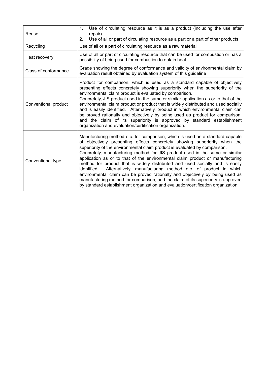| Reuse                | Use of circulating resource as it is as a product (including the use after<br>1.<br>repair)<br>Use of all or part of circulating resource as a part or a part of other products<br>2.                                                                                                                                                                                                                                                                                                                                                                                                                                                                                                                                                                                                                                                |
|----------------------|--------------------------------------------------------------------------------------------------------------------------------------------------------------------------------------------------------------------------------------------------------------------------------------------------------------------------------------------------------------------------------------------------------------------------------------------------------------------------------------------------------------------------------------------------------------------------------------------------------------------------------------------------------------------------------------------------------------------------------------------------------------------------------------------------------------------------------------|
| Recycling            | Use of all or a part of circulating resource as a raw material                                                                                                                                                                                                                                                                                                                                                                                                                                                                                                                                                                                                                                                                                                                                                                       |
| Heat recovery        | Use of all or part of circulating resource that can be used for combustion or has a<br>possibility of being used for combustion to obtain heat                                                                                                                                                                                                                                                                                                                                                                                                                                                                                                                                                                                                                                                                                       |
| Class of conformance | Grade showing the degree of conformance and validity of environmental claim by<br>evaluation result obtained by evaluation system of this guideline                                                                                                                                                                                                                                                                                                                                                                                                                                                                                                                                                                                                                                                                                  |
| Conventional product | Product for comparison, which is used as a standard capable of objectively<br>presenting effects concretely showing superiority when the superiority of the<br>environmental claim product is evaluated by comparison.<br>Concretely, JIS product used in the same or similar application as or to that of the<br>environmental claim product or product that is widely distributed and used socially<br>and is easily identified. Alternatively, product in which environmental claim can<br>be proved rationally and objectively by being used as product for comparison,<br>and the claim of its superiority is approved by standard establishment<br>organization and evaluation/certification organization.                                                                                                                     |
| Conventional type    | Manufacturing method etc. for comparison, which is used as a standard capable<br>of objectively presenting effects concretely showing superiority when the<br>superiority of the environmental claim product is evaluated by comparison.<br>Concretely, manufacturing method for JIS product used in the same or similar<br>application as or to that of the environmental claim product or manufacturing<br>method for product that is widely distributed and used socially and is easily<br>Alternatively, manufacturing method etc. of product in which<br>identified.<br>environmental claim can be proved rationally and objectively by being used as<br>manufacturing method for comparison, and the claim of its superiority is approved<br>by standard establishment organization and evaluation/certification organization. |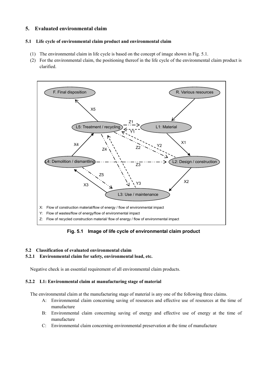# 5. Evaluated environmental claim

#### 5.1 Life cycle of environmental claim product and environmental claim

- (1) The environmental claim in life cycle is based on the concept of image shown in Fig. 5.1.
- (2) For the environmental claim, the positioning thereof in the life cycle of the environmental claim product is clarified.



Fig. 5.1 Image of life cycle of environmental claim product

#### 5.2 Classification of evaluated environmental claim

#### 5.2.1 Environmental claim for safety, environmental load, etc.

Negative check is an essential requirement of all environmental claim products.

#### 5.2.2 L1: Environmental claim at manufacturing stage of material

The environmental claim at the manufacturing stage of material is any one of the following three claims.

- A: Environmental claim concerning saving of resources and effective use of resources at the time of manufacture
- B: Environmental claim concerning saving of energy and effective use of energy at the time of manufacture
- C: Environmental claim concerning environmental preservation at the time of manufacture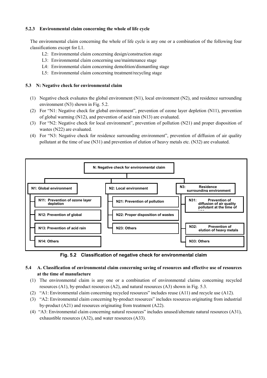#### 5.2.3 Environmental claim concerning the whole of life cycle

The environmental claim concerning the whole of life cycle is any one or a combination of the following four classifications except for L1.

- L2: Environmental claim concerning design/construction stage
- L3: Environmental claim concerning use/maintenance stage
- L4: Environmental claim concerning demolition/dismantling stage
- L5: Environmental claim concerning treatment/recycling stage

#### 5.3 N: Negative check for environmental claim

- (1) Negative check evaluates the global environment (N1), local environment (N2), and residence surrounding environment (N3) shown in Fig. 5.2.
- (2) For "N1: Negative check for global environment", prevention of ozone layer depletion (N11), prevention of global warming (N12), and prevention of acid rain (N13) are evaluated.
- (3) For "N2: Negative check for local environment", prevention of pollution (N21) and proper disposition of wastes (N22) are evaluated.
- (4) For "N3: Negative check for residence surrounding environment", prevention of diffusion of air quality pollutant at the time of use (N31) and prevention of elution of heavy metals etc. (N32) are evaluated.



Fig. 5.2 Classification of negative check for environmental claim

- 5.4 A. Classification of environmental claim concerning saving of resources and effective use of resources at the time of manufacture
	- (1) The environmental claim is any one or a combination of environmental claims concerning recycled resources (A1), by-product resources (A2), and natural resources (A3) shown in Fig. 5.3.
	- (2) "A1: Environmental claim concerning recycled resources" includes reuse (A11) and recycle use (A12).
	- (3) "A2: Environmental claim concerning by-product resources" includes resources originating from industrial by-product (A21) and resources originating from treatment (A22).
	- (4) "A3: Environmental claim concerning natural resources" includes unused/alternate natural resources (A31), exhaustible resources (A32), and water resources (A33).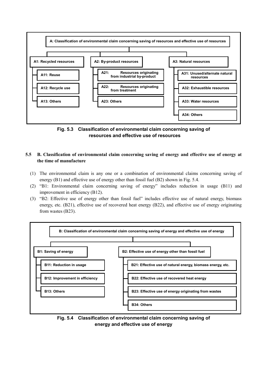

Fig. 5.3 Classification of environmental claim concerning saving of resources and effective use of resources

### 5.5 B. Classification of environmental claim concerning saving of energy and effective use of energy at the time of manufacture

- (1) The environmental claim is any one or a combination of environmental claims concerning saving of energy (B1) and effective use of energy other than fossil fuel (B2) shown in Fig. 5.4.
- (2) "B1: Environmental claim concerning saving of energy" includes reduction in usage (B11) and improvement in efficiency (B12).
- (3) "B2: Effective use of energy other than fossil fuel" includes effective use of natural energy, biomass energy, etc. (B21), effective use of recovered heat energy (B22), and effective use of energy originating from wastes (B23).



Fig. 5.4 Classification of environmental claim concerning saving of energy and effective use of energy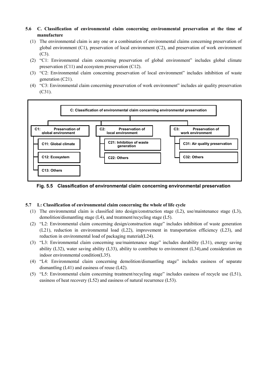#### 5.6 C. Classification of environmental claim concerning environmental preservation at the time of manufacture

- (1) The environmental claim is any one or a combination of environmental claims concerning preservation of global environment (C1), preservation of local environment (C2), and preservation of work environment (C3).
- (2) "C1: Environmental claim concerning preservation of global environment" includes global climate preservation (C11) and ecosystem preservation (C12).
- (3) "C2: Environmental claim concerning preservation of local environment" includes inhibition of waste generation (C21).
- (4) "C3: Environmental claim concerning preservation of work environment" includes air quality preservation (C31).



Fig. 5.5 Classification of environmental claim concerning environmental preservation

#### 5.7 L: Classification of environmental claim concerning the whole of life cycle

- (1) The environmental claim is classified into design/construction stage (L2), use/maintenance stage (L3), demolition/dismantling stage (L4), and treatment/recycling stage (L5).
- (2) "L2: Environmental claim concerning design/construction stage" includes inhibition of waste generation (L21), reduction in environmental load (L22), improvement in transportation efficiency (L23), and reduction in environmental load of packaging material(L24).
- (3) "L3: Environmental claim concerning use/maintenance stage" includes durability (L31), energy saving ability (L32), water saving ability (L33), ability to contribute to environment (L34),and consideration on indoor environmental condition(L35).
- (4) "L4: Environmental claim concerning demolition/dismantling stage" includes easiness of separate dismantling (L41) and easiness of reuse (L42).
- (5) "L5: Environmental claim concerning treatment/recycling stage" includes easiness of recycle use (L51), easiness of heat recovery (L52) and easiness of natural recurrence (L53).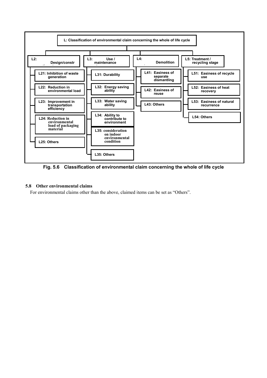

Fig. 5.6 Classification of environmental claim concerning the whole of life cycle

#### 5.8 Other environmental claims

For environmental claims other than the above, claimed items can be set as "Others".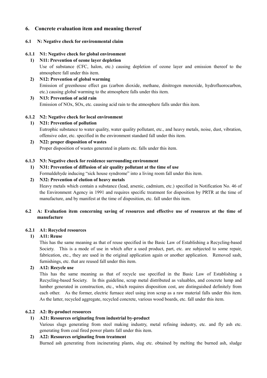# 6. Concrete evaluation item and meaning thereof

#### 6.1 N: Negative check for environmental claim

#### 6.1.1 N1: Negative check for global environment

#### 1) N11: Prevention of ozone layer depletion

 Use of substance (CFC, halon, etc.) causing depletion of ozone layer and emission thereof to the atmosphere fall under this item.

2) N12: Prevention of global warming Emission of greenhouse effect gas (carbon dioxide, methane, dinitrogen monoxide, hydrofluorocarbon, etc.) causing global warming to the atmosphere falls under this item.

#### 3) N13: Prevention of acid rain Emission of NOx, SOx, etc. causing acid rain to the atmosphere falls under this item.

#### 6.1.2 N2: Negative check for local environment

1) N21: Prevention of pollution Eutrophic substance to water quality, water quality pollutant, etc., and heavy metals, noise, dust, vibration, offensive odor, etc. specified in the environment standard fall under this item.

#### 2) N22: proper disposition of wastes Proper disposition of wastes generated in plants etc. falls under this item.

#### 6.1.3 N3: Negative check for residence surrounding environment

#### 1) N31: Prevention of diffusion of air quality pollutant at the time of use Formaldehyde inducing "sick house syndrome" into a living room fall under this item.

#### 2) N32: Prevention of elution of heavy metals

 Heavy metals which contain a substance (lead, arsenic, cadmium, etc.) specified in Notification No. 46 of the Environment Agency in 1991 and requires specific treatment for disposition by PRTR at the time of manufacture, and by manifest at the time of disposition, etc. fall under this item.

#### 6.2 A: Evaluation item concerning saving of resources and effective use of resources at the time of manufacture

#### 6.2.1 A1: Recycled resources

#### 1) A11: Reuse

 This has the same meaning as that of reuse specified in the Basic Law of Establishing a Recycling-based Society. This is a mode of use in which after a used product, part, etc. are subjected to some repair, fabrication, etc., they are used in the original application again or another application. Removed sash, furnishings, etc. that are reused fall under this item.

#### 2) A12: Recycle use

 This has the same meaning as that of recycle use specified in the Basic Law of Establishing a Recycling-based Society. In this guideline, scrap metal distributed as valuables, and concrete lump and lumber generated in construction, etc., which requires disposition cost, are distinguished definitely from each other. As the former, electric furnace steel using iron scrap as a raw material falls under this item. As the latter, recycled aggregate, recycled concrete, various wood boards, etc. fall under this item.

#### 6.2.2 A2: By-product resources

#### 1) A21: Resources originating from industrial by-product

 Various slugs generating from steel making industry, metal refining industry, etc. and fly ash etc. generating from coal fired power plants fall under this item.

#### 2) A22: Resources originating from treatment

Burned ash generating from incinerating plants, slug etc. obtained by melting the burned ash, sludge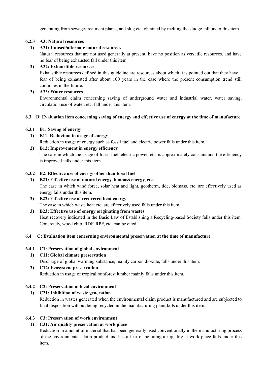generating from sewage-treatment plants, and slug etc. obtained by melting the sludge fall under this item.

#### 6.2.3 A3: Natural resources

#### 1) A31: Unused/alternate natural resources

 Natural resources that are not used generally at present, have no position as versatile resources, and have no fear of being exhausted fall under this item.

#### 2) A32: Exhaustible resources

 Exhaustible resources defined in this guideline are resources about which it is pointed out that they have a fear of being exhausted after about 100 years in the case where the present consumption trend still continues in the future.

#### 3) A33: Water resources

 Environmental claim concerning saving of underground water and industrial water, water saving, circulation use of water, etc. fall under this item.

#### 6.3 B: Evaluation item concerning saving of energy and effective use of energy at the time of manufacture

#### 6.3.1 B1: Saving of energy

- 1) B11: Reduction in usage of energy Reduction in usage of energy such as fossil fuel and electric power falls under this item.
- 2) B12: Improvement in energy efficiency The case in which the usage of fossil fuel, electric power, etc. is approximately constant and the efficiency is improved falls under this item.

#### 6.3.2 B2: Effective use of energy other than fossil fuel

- 1) B21: Effective use of natural energy, biomass energy, etc. The case in which wind force, solar heat and light, geotherm, tide, biomass, etc. are effectively used as energy falls under this item.
- 2) B22: Effective use of recovered heat energy The case in which waste heat etc. are effectively used falls under this item.

#### 3) B23: Effective use of energy originating from wastes Heat recovery indicated in the Basic Law of Establishing a Recycling-based Society falls under this item. Concretely, wood chip, RDF, RPF, etc. can be cited.

#### 6.4 C: Evaluation item concerning environmental preservation at the time of manufacture

#### 6.4.1 C1: Preservation of global environment

1) C11: Global climate preservation

Discharge of global warming substance, mainly carbon dioxide, falls under this item.

2) C12: Ecosystem preservation Reduction in usage of tropical rainforest lumber mainly falls under this item.

#### 6.4.2 C2: Preservation of local environment

#### 1) C21: Inhibition of waste generation

 Reduction in wastes generated when the environmental claim product is manufactured and are subjected to final disposition without being recycled in the manufacturing plant falls under this item.

#### 6.4.3 C3: Preservation of work environment

#### 1) C31: Air quality preservation at work place

 Reduction in amount of material that has been generally used conventionally in the manufacturing process of the environmental claim product and has a fear of polluting air quality at work place falls under this item.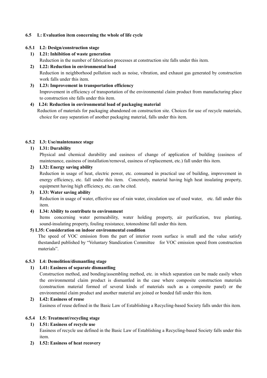#### 6.5 L: Evaluation item concerning the whole of life cycle

#### 6.5.1 L2: Design/construction stage

# 1) L21: Inhibition of waste generation Reduction in the number of fabrication processes at construction site falls under this item.

- 2) L22: Reduction in environmental load Reduction in neighborhood pollution such as noise, vibration, and exhaust gas generated by construction work falls under this item.
- 3) L23: Improvement in transportation efficiency Improvement in efficiency of transportation of the environmental claim product from manufacturing place to construction site falls under this item.

# 4) L24: Reduction in environmental load of packaging material

 Reduction of materials for packaging abandoned on construction site. Choices for use of recycle materials, choice for easy separation of another packaging material, falls under this item.

#### 6.5.2 L3: Use/maintenance stage

#### 1) L31: Durability

 Physical and chemical durability and easiness of change of application of building (easiness of maintenance, easiness of installation/removal, easiness of replacement, etc.) fall under this item.

#### 2) L32: Energy saving ability

 Reduction in usage of heat, electric power, etc. consumed in practical use of building, improvement in energy efficiency, etc. fall under this item. Concretely, material having high heat insulating property, equipment having high efficiency, etc. can be cited.

#### 3) L33: Water saving ability

 Reduction in usage of water, effective use of rain water, circulation use of used water, etc. fall under this item.

#### 4) L34: Ability to contribute to environment

 Items concerning water permeability, water holding property, air purification, tree planting, sound-insulating property, fouling resistance, totonoshime fall under this item.

#### 5) L35: Consideration on indoor environmental condition

The speed of VOC emission from the part of interior room surface is small and the value satisfy thestandard published by "Voluntary Standization Committee for VOC emission speed from construction materials".

#### 6.5.3 L4: Demolition/dismantling stage

#### 1) L41: Easiness of separate dismantling

 Construction method, and bonding/assembling method, etc. in which separation can be made easily when the environmental claim product is dismantled in the case where composite construction materials (construction material formed of several kinds of materials such as a composite panel) or the environmental claim product and another material are joined or bonded fall under this item.

### 2) L42: Easiness of reuse

Easiness of reuse defined in the Basic Law of Establishing a Recycling-based Society falls under this item.

#### 6.5.4 L5: Treatment/recycling stage

#### 1) L51: Easiness of recycle use

 Easiness of recycle use defined in the Basic Law of Establishing a Recycling-based Society falls under this item.

2) L52: Easiness of heat recovery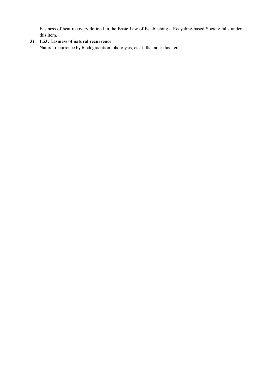Easiness of heat recovery defined in the Basic Law of Establishing a Recycling-based Society falls under this item.

# 3) L53: Easiness of natural recurrence

Natural recurrence by biodegradation, photolysis, etc. falls under this item.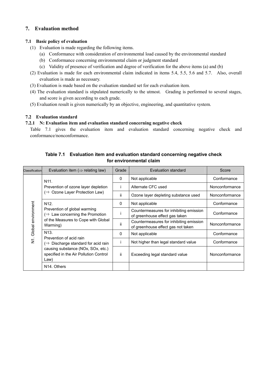# 7. Evaluation method

#### 7.1 Basic policy of evaluation

- (1) Evaluation is made regarding the following items.
	- (a) Conformance with consideration of environmental load caused by the environmental standard
	- (b) Conformance concerning environmental claim or judgment standard
	- (c) Validity of presence of verification and degree of verification for the above items (a) and (b)
- (2) Evaluation is made for each environmental claim indicated in items 5.4, 5.5, 5.6 and 5.7. Also, overall evaluation is made as necessary.
- (3) Evaluation is made based on the evaluation standard set for each evaluation item.
- (4) The evaluation standard is stipulated numerically to the utmost. Grading is performed to several stages, and score is given according to each grade.
- (5) Evaluation result is given numerically by an objective, engineering, and quantitative system.

#### 7.2 Evaluation standard

#### 7.2.1 N: Evaluation item and evaluation standard concerning negative check

Table 7.1 gives the evaluation item and evaluation standard concerning negative check and conformance/nonconformance.

| Classification     | Evaluation item ( $\Rightarrow$ relating law)                                        | Grade | Evaluation standard                                                           | Score          |
|--------------------|--------------------------------------------------------------------------------------|-------|-------------------------------------------------------------------------------|----------------|
|                    | N <sub>11</sub> .                                                                    | 0     | Not applicable                                                                | Conformance    |
|                    | Prevention of ozone layer depletion                                                  |       | Alternate CFC used                                                            | Nonconformance |
|                    | $(\Rightarrow$ Ozone Layer Protection Law)                                           | ii.   | Ozone layer depleting substance used                                          | Nonconformance |
|                    | N <sub>12</sub>                                                                      | 0     | Not applicable                                                                | Conformance    |
| Global environment | Prevention of global warming<br>$(\Rightarrow$ Law concerning the Promotion          |       | Countermeasures for inhibiting emission<br>of greenhouse effect gas taken     | Conformance    |
|                    | of the Measures to Cope with Global<br>Warming)                                      | ii    | Countermeasures for inhibiting emission<br>of greenhouse effect gas not taken | Nonconformance |
|                    | N <sub>13</sub> .<br>Prevention of acid rain                                         | 0     | Not applicable                                                                | Conformance    |
| $\dot{\bar{z}}$    | $(\Rightarrow$ Discharge standard for acid rain                                      |       | Not higher than legal standard value                                          | Conformance    |
|                    | causing substance (NOx, SOx, etc.)<br>specified in the Air Pollution Control<br>Law) | ii.   | Exceeding legal standard value                                                | Nonconformance |
|                    | N <sub>14</sub> . Others                                                             |       |                                                                               |                |

# Table 7.1 Evaluation item and evaluation standard concerning negative check for environmental claim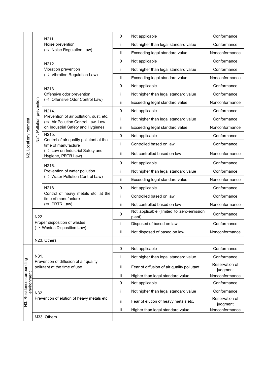|                                               |      | N211.                                                                        | 0           | Not applicable                                     | Conformance                |
|-----------------------------------------------|------|------------------------------------------------------------------------------|-------------|----------------------------------------------------|----------------------------|
|                                               |      | Noise prevention                                                             | Ť           | Not higher than legal standard value               | Conformance                |
|                                               |      | $(\Rightarrow$ Noise Regulation Law)                                         | ii.         | Exceeding legal standard value                     | Nonconformance             |
|                                               |      | N212.                                                                        | $\mathbf 0$ | Not applicable                                     | Conformance                |
|                                               |      | Vibration prevention                                                         | Ť           | Not higher than legal standard value               | Conformance                |
|                                               |      | (⇒ Vibration Regulation Law)                                                 | ii.         | Exceeding legal standard value                     | Nonconformance             |
| Pollution prevention<br>N2. Local environment |      | N213.                                                                        | $\mathbf 0$ | Not applicable                                     | Conformance                |
|                                               |      | Offensive odor prevention                                                    | Ť           | Not higher than legal standard value               | Conformance                |
|                                               |      | (⇒ Offensive Odor Control Law)                                               | ïi          | Exceeding legal standard value                     | Nonconformance             |
|                                               |      | N214.                                                                        | $\mathbf 0$ | Not applicable                                     | Conformance                |
|                                               |      | Prevention of air pollution, dust, etc.<br>(⇒ Air Pollution Control Law, Law | Ť           | Not higher than legal standard value               | Conformance                |
|                                               |      | on Industrial Safety and Hygiene)                                            | ii.         | Exceeding legal standard value                     | Nonconformance             |
|                                               | N21. | N215.<br>Control of air quality pollutant at the                             | $\pmb{0}$   | Not applicable                                     | Conformance                |
|                                               |      | time of manufacture                                                          | i           | Controlled based on law                            | Conformance                |
|                                               |      | (⇒ Law on Industrial Safety and<br>Hygiene, PRTR Law)                        | ij.         | Not controlled based on law                        | Nonconformance             |
|                                               |      | N216.                                                                        | $\mathbf 0$ | Not applicable                                     | Conformance                |
|                                               |      | Prevention of water pollution                                                | İ           | Not higher than legal standard value               | Conformance                |
|                                               |      | (⇒ Water Pollution Control Law)                                              | ii.         | Exceeding legal standard value                     | Nonconformance             |
|                                               |      | N218.                                                                        | $\mathbf 0$ | Not applicable                                     | Conformance                |
|                                               |      | Control of heavy metals etc. at the<br>time of manufacture                   | Ť           | Controlled based on law                            | Conformance                |
|                                               |      | $(\Rightarrow$ PRTR Law)                                                     | ij.         | Not controlled based on law                        | Nonconformance             |
|                                               | N22. |                                                                              | 0           | Not applicable (limited to zero-emission<br>plant) | Conformance                |
|                                               |      | Proper disposition of wastes<br>(⇒ Wastes Disposition Law)                   | Ť           | Disposed of based on law                           | Conformance                |
|                                               |      |                                                                              | ij.         | Not disposed of based on law                       | Nonconformance             |
|                                               |      | N23. Others                                                                  |             |                                                    |                            |
|                                               |      |                                                                              | $\mathbf 0$ | Not applicable                                     | Conformance                |
|                                               | N31. |                                                                              | İ           | Not higher than legal standard value               | Conformance                |
| N3. Residence surrounding                     |      | Prevention of diffusion of air quality<br>pollutant at the time of use       | ij.         | Fear of diffusion of air quality pollutant         | Reservation of<br>judgment |
|                                               |      |                                                                              | iii         | Higher than legal standard value                   | Nonconformance             |
| environment                                   |      |                                                                              | 0           | Not applicable                                     | Conformance                |
|                                               | N32. |                                                                              | Ť           | Not higher than legal standard value               | Conformance                |
|                                               |      | Prevention of elution of heavy metals etc.                                   | ij.         | Fear of elution of heavy metals etc.               | Reservation of<br>judgment |
|                                               |      |                                                                              | iii         | Higher than legal standard value                   | Nonconformance             |
|                                               |      | M33. Others                                                                  |             |                                                    |                            |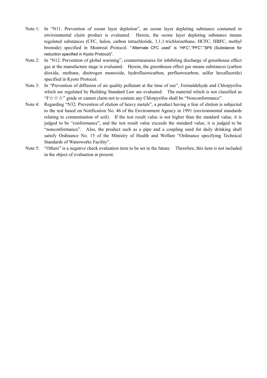- Note 1: In "N11. Prevention of ozone layer depletion", an ozone layer depleting substance contained in environmental claim product is evaluated. Herein, the ozone layer depleting substance means regulated substances (CFC, halon, carbon tetrachloride, 1,1,1-trichloroethane, HCFC, HBFC, methyl bromide) specified in Montreal Protocol. "Alternate CFC used" is "HFC","PFC","SF6 (Substance for reduction specified in Kyoto Protocol)".
- Note 2: In "N12. Prevention of global warming", countermeasures for inhibiting discharge of greenhouse effect gas at the manufacture stage is evaluated. Herein, the greenhouse effect gas means substances (carbon dioxide, methane, dinitrogen monoxide, hydrofluorocarbon, perfluorocarbon, sulfur hexafluoride) specified in Kyoto Protocol.
- Note 3: In "Prevention of diffusion of air quality pollutant at the time of use", Formaldehyde and Chlorpyrifos which are regulated by Building Standard Law are evaluated. The material which is not classified as "F☆☆☆" grade or cannot claim not to contain any Chlorpyrifos shall be "Nonconformance".
- Note 4: Regarding "N32. Prevention of elution of heavy metals", a product having a fear of elution is subjected to the test based on Notification No. 46 of the Environment Agency in 1991 (environmental standards relating to contamination of soil). If the test result value is not higher than the standard value, it is judged to be "conformance", and the test result value exceeds the standard value, it is judged to be "nonconformance". Also, the product such as a pipe and a coupling used for daily drinking shall satisfy Ordinance No. 15 of the Ministry of Health and Welfare "Ordinance specifying Technical Standards of Waterworks Facility".
- Note 5: "Others" is a negative check evaluation item to be set in the future. Therefore, this item is not included in the object of evaluation at present.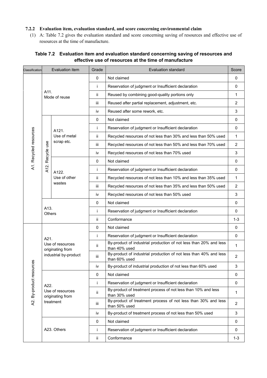### 7.2.2 Evaluation item, evaluation standard, and score concerning environmental claim

(1) A: Table 7.2 gives the evaluation standard and score concerning saving of resources and effective use of resources at the time of manufacture.

# Table 7.2 Evaluation item and evaluation standard concerning saving of resources and effective use of resources at the time of manufacture

| Classification           |                       | Evaluation item                      | Grade       | <b>Evaluation standard</b>                                                         | Score          |
|--------------------------|-----------------------|--------------------------------------|-------------|------------------------------------------------------------------------------------|----------------|
|                          |                       |                                      | $\mathbf 0$ | Not claimed                                                                        | 0              |
|                          |                       |                                      | Ť           | Reservation of judgment or Insufficient declaration                                | 0              |
|                          | A11.                  | Mode of reuse                        | ii.         | Reused by combining good-quality portions only                                     | 1              |
|                          |                       |                                      |             | Reused after partial replacement, adjustment, etc.                                 | $\overline{2}$ |
|                          |                       |                                      |             | Reused after some rework, etc.                                                     | 3              |
|                          |                       |                                      | 0           | Not claimed                                                                        | 0              |
| A1. Recycled resources   |                       | A121.                                | Ť           | Reservation of judgment or Insufficient declaration                                | 0              |
|                          |                       | Use of metal                         | ii.         | Recycled resources of not less than 30% and less than 50% used                     | $\mathbf{1}$   |
|                          |                       | scrap etc.                           | iii         | Recycled resources of not less than 50% and less than 70% used                     | $\overline{2}$ |
|                          | Recycle use           |                                      | iv          | Recycled resources of not less than 70% used                                       | 3              |
|                          |                       |                                      | 0           | Not claimed                                                                        | 0              |
|                          | A12.                  | A122.                                | İ           | Reservation of judgment or Insufficient declaration                                | 0              |
|                          |                       | Use of other<br>wastes               | ii.         | Recycled resources of not less than 10% and less than 35% used                     | 1              |
|                          |                       |                                      | iii         | Recycled resources of not less than 35% and less than 50% used                     | $\overline{2}$ |
|                          |                       |                                      | iv          | Recycled resources of not less than 50% used                                       | 3              |
|                          |                       |                                      |             | Not claimed                                                                        | 0              |
|                          | A13.<br><b>Others</b> |                                      | Ť           | Reservation of judgment or Insufficient declaration                                | 0              |
|                          |                       |                                      |             | Conformance                                                                        | $1 - 3$        |
|                          |                       |                                      | $\mathbf 0$ | Not claimed                                                                        | 0              |
|                          | A21.                  |                                      | İ           | Reservation of judgment or Insufficient declaration                                | 0              |
|                          |                       | Use of resources<br>originating from | ii.         | By-product of industrial production of not less than 20% and less<br>than 40% used | 1              |
|                          |                       | industrial by-product                | iii.        | By-product of industrial production of not less than 40% and less<br>than 60% used | 2              |
|                          |                       |                                      | İ٧          | By-product of industrial production of not less than 60% used                      | 3              |
|                          |                       |                                      | 0           | Not claimed                                                                        | 0              |
|                          | A22.                  |                                      | Ť           | Reservation of judgment or Insufficient declaration                                | 0              |
| A2. By-product resources |                       | Use of resources<br>originating from | ii.         | By-product of treatment process of not less than 10% and less<br>than 30% used     | $\mathbf 1$    |
|                          |                       | treatment                            | iii         | By-product of treatment process of not less than 30% and less<br>than 50% used     | 2              |
|                          |                       |                                      | iv          | By-product of treatment process of not less than 50% used                          | 3              |
|                          |                       |                                      | $\mathbf 0$ | Not claimed                                                                        | 0              |
|                          |                       | A23. Others                          | Ť           | Reservation of judgment or Insufficient declaration                                | 0              |
|                          |                       |                                      | ii.         | Conformance                                                                        | $1 - 3$        |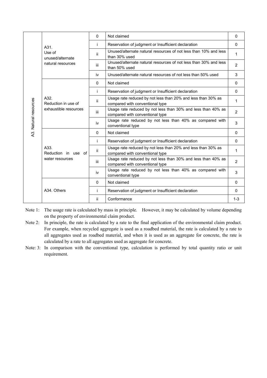|                       |                                                      | $\Omega$     | Not claimed                                                                                     | $\mathbf{0}$   |
|-----------------------|------------------------------------------------------|--------------|-------------------------------------------------------------------------------------------------|----------------|
|                       | A31.                                                 | Ť            | Reservation of judgment or Insufficient declaration                                             | $\Omega$       |
|                       | Use of<br>unused/alternate<br>natural resources      | ii.          | Unused/alternate natural resources of not less than 10% and less<br>than 30% used               | 1              |
|                       |                                                      | iii          | Unused/alternate natural resources of not less than 30% and less<br>than 50% used               | $\overline{2}$ |
|                       |                                                      | iv           | Unused/alternate natural resources of not less than 50% used                                    | 3              |
|                       |                                                      | $\Omega$     | Not claimed                                                                                     | $\mathbf{0}$   |
|                       |                                                      | Ť            | Reservation of judgment or Insufficient declaration                                             | $\mathbf{0}$   |
|                       | A32.<br>Reduction in use of<br>exhaustible resources | Ϊİ           | Usage rate reduced by not less than 20% and less than 30% as<br>compared with conventional type | 1              |
|                       |                                                      | iii          | Usage rate reduced by not less than 30% and less than 40% as<br>compared with conventional type | 2              |
| A3. Natural resources |                                                      | <b>iv</b>    | Usage rate reduced by not less than 40% as compared with<br>conventional type                   | 3              |
|                       |                                                      | $\mathbf{0}$ | Not claimed                                                                                     | $\mathbf{0}$   |
|                       |                                                      | Ť            | Reservation of judgment or Insufficient declaration                                             | $\mathbf{0}$   |
|                       | A33.<br>Reduction in use of                          | ii.          | Usage rate reduced by not less than 20% and less than 30% as<br>compared with conventional type | 1              |
|                       | water resources                                      | iii.         | Usage rate reduced by not less than 30% and less than 40% as<br>compared with conventional type | 2              |
|                       |                                                      | iv           | Usage rate reduced by not less than 40% as compared with<br>conventional type                   | 3              |
|                       |                                                      | $\Omega$     | Not claimed                                                                                     | $\Omega$       |
|                       | A34. Others                                          | Ť            | Reservation of judgment or Insufficient declaration                                             | $\Omega$       |
|                       |                                                      | jj.          | Conformance                                                                                     | $1 - 3$        |

- Note 1: The usage rate is calculated by mass in principle. However, it may be calculated by volume depending on the property of environmental claim product.
- Note 2: In principle, the rate is calculated by a rate to the final application of the environmental claim product. For example, when recycled aggregate is used as a roadbed material, the rate is calculated by a rate to all aggregates used as roadbed material, and when it is used as an aggregate for concrete, the rate is calculated by a rate to all aggregates used as aggregate for concrete.
- Note: 3: In comparison with the conventional type, calculation is performed by total quantity ratio or unit requirement.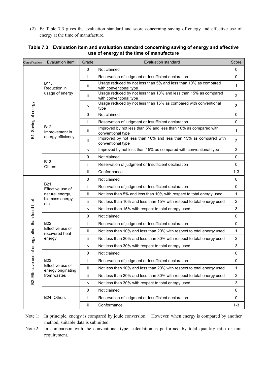(2) B: Table 7.3 gives the evaluation standard and score concerning saving of energy and effective use of energy at the time of manufacture.

| Classification                       | Evaluation item                                                        | Grade       | <b>Evaluation standard</b>                                                                 | Score          |
|--------------------------------------|------------------------------------------------------------------------|-------------|--------------------------------------------------------------------------------------------|----------------|
|                                      |                                                                        | $\mathbf 0$ | Not claimed                                                                                | 0              |
|                                      |                                                                        | j.          | Reservation of judgment or Insufficient declaration                                        | 0              |
|                                      | B11.<br>Reduction in                                                   | ii.         | Usage reduced by not less than 5% and less than 10% as compared<br>with conventional type  | $\mathbf 1$    |
|                                      | usage of energy                                                        | iii         | Usage reduced by not less than 10% and less than 15% as compared<br>with conventional type | $\overline{2}$ |
| B1. Saving of energy                 |                                                                        | iv          | Usage reduced by not less than 15% as compared with conventional<br>type                   | 3              |
|                                      |                                                                        | $\mathbf 0$ | Not claimed                                                                                | 0              |
|                                      |                                                                        | Ť           | Reservation of judgment or Insufficient declaration                                        | $\mathbf 0$    |
|                                      | B <sub>12</sub> .<br>Improvement in                                    | ij.         | Improved by not less than 5% and less than 10% as compared with<br>conventional type       | $\mathbf{1}$   |
|                                      | energy efficiency                                                      | iii.        | Improved by not less than 10% and less than 15% as compared with<br>conventional type      | $\overline{2}$ |
|                                      |                                                                        | iv          | Improved by not less than 15% as compared with conventional type                           | $\mathsf 3$    |
|                                      | B13.<br><b>Others</b>                                                  | $\mathbf 0$ | Not claimed                                                                                | $\mathbf 0$    |
|                                      |                                                                        | Ť           | Reservation of judgment or Insufficient declaration                                        | 0              |
|                                      |                                                                        | ii.         | Conformance                                                                                | $1 - 3$        |
|                                      | B21.<br>Effective use of<br>natural energy,<br>biomass energy,<br>etc. | $\mathbf 0$ | Not claimed                                                                                | 0              |
|                                      |                                                                        | Ť           | Reservation of judgment or Insufficient declaration                                        | $\mathbf 0$    |
|                                      |                                                                        | ij.         | Not less than 5% and less than 10% with respect to total energy used                       | 1              |
|                                      |                                                                        | iii         | Not less than 10% and less than 15% with respect to total energy used                      | $\overline{2}$ |
| use of energy other than fossil fuel |                                                                        | iv          | Not less than 15% with respect to total energy used                                        | $\mathsf 3$    |
|                                      |                                                                        | $\mathbf 0$ | Not claimed                                                                                | $\mathbf 0$    |
|                                      | B22.                                                                   | Ť           | Reservation of judgment or Insufficient declaration                                        | $\mathbf 0$    |
|                                      | Effective use of<br>recovered heat                                     | ij.         | Not less than 10% and less than 20% with respect to total energy used                      | 1              |
|                                      | energy                                                                 | Ш           | Not less than 20% and less than 30% with respect to total energy used                      | $\overline{2}$ |
|                                      |                                                                        | iv          | Not less than 30% with respect to total energy used                                        | $\sqrt{3}$     |
|                                      |                                                                        | 0           | Not claimed                                                                                | $\pmb{0}$      |
|                                      | B23.                                                                   | İ           | Reservation of judgment or Insufficient declaration                                        | 0              |
| Effective                            | Effective use of<br>energy originating                                 | ij.         | Not less than 10% and less than 20% with respect to total energy used                      | 1              |
|                                      | from wastes                                                            | iii         | Not less than 20% and less than 30% with respect to total energy used                      | $\overline{2}$ |
| B2.                                  |                                                                        | iv          | Not less than 30% with respect to total energy used                                        | 3              |
|                                      |                                                                        | 0           | Not claimed                                                                                | 0              |
|                                      | B24. Others                                                            | Ť           | Reservation of judgment or Insufficient declaration                                        | 0              |
|                                      |                                                                        | ij.         | Conformance                                                                                | $1 - 3$        |

#### Table 7.3 Evaluation item and evaluation standard concerning saving of energy and effective use of energy at the time of manufacture

Note 1: In principle, energy is compared by joule conversion. However, when energy is compared by another method, suitable data is submitted.

Note 2: In comparison with the conventional type, calculation is performed by total quantity ratio or unit requirement.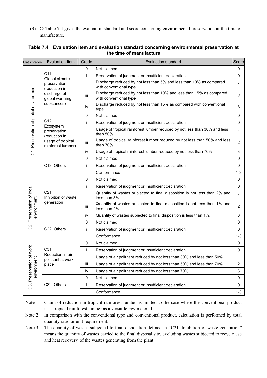(3) C: Table 7.4 gives the evaluation standard and score concerning environmental preservation at the time of manufacture.

|                                                                                                                                                                        | Evaluation item                                      | Grade       | <b>Evaluation standard</b>                                                                     | Score        |
|------------------------------------------------------------------------------------------------------------------------------------------------------------------------|------------------------------------------------------|-------------|------------------------------------------------------------------------------------------------|--------------|
|                                                                                                                                                                        |                                                      | 0           | Not claimed                                                                                    | 0            |
|                                                                                                                                                                        | C <sub>11</sub> .<br>Global climate                  | i           | Reservation of judgment or Insufficient declaration                                            | 0            |
|                                                                                                                                                                        | preservation<br>(reduction in                        | ii.         | Discharge reduced by not less than 5% and less than 10% as compared<br>with conventional type  | $\mathbf{1}$ |
|                                                                                                                                                                        | discharge of<br>global warming                       | iii         | Discharge reduced by not less than 10% and less than 15% as compared<br>with conventional type | 2            |
| Classification<br>C1. Preservation of global environment<br>Preservation of local<br>environment<br>C2.<br>n of work<br><sub>i</sub> nt<br>$\overline{a}$<br>environme | substances)                                          | iv          | Discharge reduced by not less than 15% as compared with conventional<br>type                   | $\mathsf 3$  |
|                                                                                                                                                                        |                                                      | 0           | Not claimed                                                                                    | $\mathbf 0$  |
|                                                                                                                                                                        | C12.<br>Ecosystem                                    | Ť           | Reservation of judgment or Insufficient declaration                                            | 0            |
|                                                                                                                                                                        | preservation<br>(reduction in                        | ii.         | Usage of tropical rainforest lumber reduced by not less than 30% and less<br>than 50%          | 1            |
|                                                                                                                                                                        | usage of tropical<br>rainforest lumber)              | iii         | Usage of tropical rainforest lumber reduced by not less than 50% and less<br>than 70%          | 2            |
|                                                                                                                                                                        |                                                      | İ٧          | Usage of tropical rainforest lumber reduced by not less than 70%                               | 3            |
|                                                                                                                                                                        |                                                      | $\Omega$    | Not claimed                                                                                    | 0            |
|                                                                                                                                                                        | C13. Others                                          | Ť           | Reservation of judgment or Insufficient declaration                                            | 0            |
|                                                                                                                                                                        |                                                      | ij.         | Conformance                                                                                    | $1 - 3$      |
|                                                                                                                                                                        |                                                      | 0           | Not claimed                                                                                    | $\mathbf 0$  |
|                                                                                                                                                                        |                                                      | Ť           | Reservation of judgment or Insufficient declaration                                            | $\mathbf 0$  |
|                                                                                                                                                                        | C <sub>21</sub><br>Inhibition of waste<br>generation | ii.         | Quantity of wastes subjected to final disposition is not less than 2% and<br>less than 3%.     | 1            |
|                                                                                                                                                                        |                                                      | Ш           | Quantity of wastes subjected to final disposition is not less than 1% and<br>less than 2%.     | 2            |
|                                                                                                                                                                        |                                                      | iv          | Quantity of wastes subjected to final disposition is less than 1%.                             | 3            |
|                                                                                                                                                                        |                                                      | $\mathbf 0$ | Not claimed                                                                                    | 0            |
|                                                                                                                                                                        | C22. Others                                          | Ť           | Reservation of judgment or Insufficient declaration                                            | 0            |
|                                                                                                                                                                        |                                                      | ii.         | Conformance                                                                                    | $1 - 3$      |
|                                                                                                                                                                        |                                                      | 0           | Not claimed                                                                                    | 0            |
|                                                                                                                                                                        | C31.                                                 | Ť           | Reservation of judgment or Insufficient declaration                                            | $\mathbf 0$  |
|                                                                                                                                                                        | Reduction in air<br>pollutant at work                | ij.         | Usage of air pollutant reduced by not less than 30% and less than 50%                          | 1            |
|                                                                                                                                                                        | place                                                | Ш           | Usage of air pollutant reduced by not less than 50% and less than 70%                          | 2            |
|                                                                                                                                                                        |                                                      | iv          | Usage of air pollutant reduced by not less than 70%                                            | 3            |
|                                                                                                                                                                        |                                                      | 0           | Not claimed                                                                                    | 0            |
| C3. Preservation                                                                                                                                                       | C32. Others                                          | j.          | Reservation of judgment or Insufficient declaration                                            | 0            |
|                                                                                                                                                                        |                                                      | ij.         | Conformance                                                                                    | $1 - 3$      |

#### Table 7.4 Evaluation item and evaluation standard concerning environmental preservation at the time of manufacture

Note 1: Claim of reduction in tropical rainforest lumber is limited to the case where the conventional product uses tropical rainforest lumber as a versatile raw material.

Note 2: In comparison with the conventional type and conventional product, calculation is performed by total quantity ratio or unit requirement.

Note 3: The quantity of wastes subjected to final disposition defined in "C21. Inhibition of waste generation" means the quantity of wastes carried to the final disposal site, excluding wastes subjected to recycle use and heat recovery, of the wastes generating from the plant.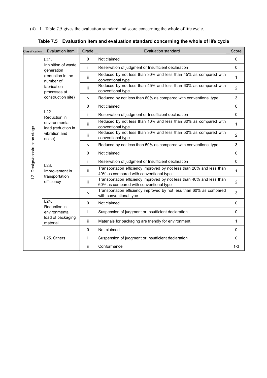(4) L: Table 7.5 gives the evaluation standard and score concerning the whole of life cycle.

| Classification                | Evaluation item                                        | Grade        | Evaluation standard                                                                                             | Score          |
|-------------------------------|--------------------------------------------------------|--------------|-----------------------------------------------------------------------------------------------------------------|----------------|
|                               | L21.                                                   | $\mathbf{0}$ | Not claimed                                                                                                     | $\Omega$       |
|                               | Inhibition of waste<br>generation                      | i.           | Reservation of judgment or Insufficient declaration                                                             | $\Omega$       |
|                               | (reduction in the<br>number of                         | ii.          | Reduced by not less than 30% and less than 45% as compared with<br>conventional type                            | $\mathbf{1}$   |
|                               | fabrication<br>processes at                            | iii.         | Reduced by not less than 45% and less than 60% as compared with<br>conventional type                            | $\overline{2}$ |
| L2. Design/construction stage | construction site)                                     | iv           | Reduced by not less than 60% as compared with conventional type                                                 | 3              |
|                               |                                                        | 0            | Not claimed                                                                                                     | $\mathbf{0}$   |
|                               | L22.<br>Reduction in                                   | i.           | Reservation of judgment or Insufficient declaration                                                             | $\mathbf{0}$   |
|                               | environmental<br>load (reduction in                    | ii.          | Reduced by not less than 10% and less than 30% as compared with<br>conventional type                            | $\mathbf{1}$   |
|                               | vibration and<br>noise)                                | iii          | Reduced by not less than 30% and less than 50% as compared with<br>conventional type                            | $\overline{2}$ |
|                               |                                                        | iv           | Reduced by not less than 50% as compared with conventional type                                                 | 3              |
|                               |                                                        | 0            | Not claimed                                                                                                     | 0              |
|                               |                                                        | İ.           | Reservation of judgment or Insufficient declaration                                                             | $\mathbf{0}$   |
|                               | L23.<br>Improvement in<br>transportation<br>efficiency | jj.          | Transportation efficiency improved by not less than 20% and less than<br>40% as compared with conventional type | $\mathbf{1}$   |
|                               |                                                        | iii.         | Transportation efficiency improved by not less than 40% and less than<br>60% as compared with conventional type | $\overline{2}$ |
|                               |                                                        | iv           | Transportation efficiency improved by not less than 60% as compared<br>with conventional type                   | $\mathbf{3}$   |
|                               | L24.<br>Reduction in                                   | $\mathbf 0$  | Not claimed                                                                                                     | $\mathbf 0$    |
|                               | environmental                                          | i.           | Suspension of judgment or Insufficient declaration                                                              | $\mathbf{0}$   |
|                               | load of packaging<br>material                          | ii.          | Materials for packaging are friendly for environment.                                                           | 1              |
|                               |                                                        | 0            | Not claimed                                                                                                     | 0              |
|                               | L25. Others                                            | Ť            | Suspension of judgment or Insufficient declaration                                                              | $\mathbf{0}$   |
|                               |                                                        | ii.          | Conformance                                                                                                     | $1 - 3$        |

Table 7.5 Evaluation item and evaluation standard concerning the whole of life cycle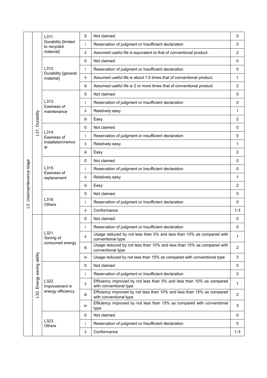|                       |                       | L311.                                     | 0    | Not claimed                                                                                      | 0              |
|-----------------------|-----------------------|-------------------------------------------|------|--------------------------------------------------------------------------------------------------|----------------|
|                       |                       | Durability [limited<br>to recycled        | i    | Reservation of judgment or Insufficient declaration                                              | $\mathbf 0$    |
|                       |                       | material]                                 | ii.  | Assumed useful life is equivalent to that of conventional product.                               | $\overline{2}$ |
|                       |                       |                                           | 0    | Not claimed                                                                                      | $\mathbf{0}$   |
|                       |                       | L312.<br>Durability [general<br>material] | i    | Reservation of judgment or Insufficient declaration                                              | $\mathbf 0$    |
|                       |                       |                                           | ii.  | Assumed useful life is about 1.5 times that of conventional product.                             | 1              |
|                       |                       |                                           | iii  | Assumed useful life is 2 or more times that of conventional product.                             | $\overline{2}$ |
|                       |                       |                                           | 0    | Not claimed                                                                                      | 0              |
|                       |                       | L313.<br>Easiness of                      | i    | Reservation of judgment or Insufficient declaration                                              | 0              |
|                       |                       | maintenance                               | ii.  | Relatively easy                                                                                  | 1              |
|                       | Durability            |                                           | iii  | Easy                                                                                             | $\overline{2}$ |
|                       |                       |                                           | 0    | Not claimed                                                                                      | 0              |
|                       | L31.                  | L314.<br>Easiness of                      | i    | Reservation of judgment or Insufficient declaration                                              | $\Omega$       |
|                       |                       | installation/remov<br>al                  | ii.  | Relatively easy                                                                                  | 1              |
|                       |                       |                                           | iii  | Easy                                                                                             | $\overline{2}$ |
|                       |                       | L315.<br>Easiness of<br>replacement       | 0    | Not claimed                                                                                      | $\Omega$       |
|                       |                       |                                           | İ    | Reservation of judgment or Insufficient declaration                                              | $\mathbf 0$    |
|                       |                       |                                           | ii   | Relatively easy                                                                                  | 1              |
| Use/maintenance stage |                       |                                           | iii  | Easy                                                                                             | $\overline{2}$ |
|                       |                       | L316.<br><b>Others</b>                    | 0    | Not claimed                                                                                      | $\mathbf 0$    |
| $\vec{c}$             |                       |                                           | i    | Reservation of judgment or Insufficient declaration                                              | 0              |
|                       |                       |                                           | ii   | Conformance                                                                                      | $1 - 3$        |
|                       |                       |                                           | 0    | Not claimed                                                                                      | $\mathbf 0$    |
|                       |                       |                                           | i    | Reservation of judgment or Insufficient declaration                                              | 0              |
|                       |                       | L321.<br>Saving of                        | ii   | Usage reduced by not less than 5% and less than 10% as compared with<br>conventional type        | 1              |
|                       |                       | consumed energy                           | iii. | Usage reduced by not less than 10% and less than 15% as compared with<br>conventional type       | $\overline{2}$ |
|                       |                       |                                           | iv   | Usage reduced by not less than 15% as compared with conventional type                            | 3              |
|                       |                       |                                           | 0    | Not claimed                                                                                      | $\mathbf 0$    |
|                       |                       |                                           | Ť    | Reservation of judgment or Insufficient declaration                                              | $\mathbf 0$    |
|                       | Energy saving ability | L322.<br>Improvement in                   | ij.  | Efficiency improved by not less than 5% and less than 10% as compared<br>with conventional type  | 1              |
|                       | $\overline{32}$ .     | energy efficiency                         | iii. | Efficiency improved by not less than 10% and less than 15% as compared<br>with conventional type | $\overline{2}$ |
|                       |                       |                                           | iv   | Efficiency improved by not less than 15% as compared with conventional<br>type                   | 3              |
|                       |                       |                                           | 0    | Not claimed                                                                                      | 0              |
|                       |                       | L323.<br>Others                           | Ť    | Reservation of judgment or Insufficient declaration                                              | $\mathbf{0}$   |
|                       |                       |                                           | ij.  | Conformance                                                                                      | $1 - 3$        |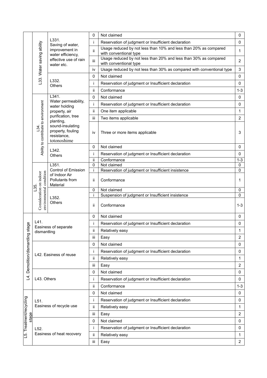|                                  |                                                           |                                                                                  | 0                 | Not claimed                                                                                | 0                       |
|----------------------------------|-----------------------------------------------------------|----------------------------------------------------------------------------------|-------------------|--------------------------------------------------------------------------------------------|-------------------------|
|                                  |                                                           | L331.<br>Saving of water,                                                        | Ť                 | Reservation of judgment or Insufficient declaration                                        | 0                       |
|                                  |                                                           | improvement in<br>water efficiency,                                              | ij.               | Usage reduced by not less than 10% and less than 20% as compared<br>with conventional type | 1                       |
|                                  | L33. Water saving ability                                 | effective use of rain<br>water etc.                                              | iii               | Usage reduced by not less than 20% and less than 30% as compared<br>with conventional type | $\overline{\mathbf{c}}$ |
|                                  |                                                           |                                                                                  | iv                | Usage reduced by not less than 30% as compared with conventional type                      | 3                       |
|                                  |                                                           |                                                                                  | $\mathbf 0$       | Not claimed                                                                                | 0                       |
|                                  |                                                           | L332.<br>Others                                                                  | Ť                 | Reservation of judgment or Insufficient declaration                                        | 0                       |
|                                  |                                                           |                                                                                  | ii.               | Conformance                                                                                | $1 - 3$                 |
|                                  |                                                           | L341.                                                                            | $\mathbf 0$       | Not claimed                                                                                | 0                       |
|                                  |                                                           | Water permeability,<br>water holding                                             | i                 | Reservation of judgment or Insufficient declaration                                        | $\mathbf 0$             |
|                                  |                                                           | property, air                                                                    | ij.               | One item applicable                                                                        | $\mathbf{1}$            |
|                                  |                                                           | purification, tree                                                               | iii.              | Two items applicable                                                                       | $\overline{2}$          |
|                                  | Ability to contribute to environment<br><u>.३५</u>        | planting,<br>sound-insulating<br>property, fouling<br>resistance,<br>totonoshime | iv                | Three or more items applicable                                                             | 3                       |
|                                  |                                                           |                                                                                  | 0                 | Not claimed                                                                                | 0                       |
|                                  |                                                           | L342.<br><b>Others</b>                                                           | j.                | Reservation of judgment or Insufficient declaration                                        | 0                       |
|                                  |                                                           |                                                                                  | ij.               | Conformance                                                                                | $1 - 3$                 |
|                                  |                                                           | L351.<br>Control of Emission<br>of Indoor Air<br>Pollutants from<br>Material     | $\mathbf 0$<br>i. | Not claimed<br>Reservation of judgment or Insufficient insistence                          | 0<br>0                  |
|                                  | environmental condition<br>Consideration on indoor<br>135 |                                                                                  | ii.               | Conformance                                                                                | 1                       |
|                                  |                                                           | L352.<br>Others                                                                  | $\mathbf 0$       | Not claimed                                                                                | 0                       |
|                                  |                                                           |                                                                                  | i<br>ii.          | Suspension of judgment or Insufficient insistence<br>Conformance                           | 0<br>$1 - 3$            |
|                                  |                                                           |                                                                                  | 0                 | Not claimed                                                                                | 0                       |
|                                  | L41.                                                      |                                                                                  |                   | Reservation of judgment or Insufficient declaration                                        | 0                       |
| stage                            | dismantling                                               | Easiness of separate                                                             | ij.               | Relatively easy                                                                            | 1                       |
|                                  |                                                           |                                                                                  | iii               | Easy                                                                                       | $\overline{2}$          |
| Demolition/dismantling           |                                                           |                                                                                  |                   | Not claimed                                                                                | 0                       |
|                                  |                                                           |                                                                                  | j.                | Reservation of judgment or Insufficient declaration                                        | 0                       |
|                                  |                                                           | L42. Easiness of reuse                                                           | ij.               | Relatively easy                                                                            | 1                       |
|                                  |                                                           |                                                                                  |                   | Easy                                                                                       | 2                       |
|                                  |                                                           |                                                                                  | 0                 | Not claimed                                                                                | 0                       |
| 4.                               | L43. Others                                               |                                                                                  | Ť                 | Reservation of judgment or Insufficient declaration                                        | 0                       |
|                                  |                                                           |                                                                                  | ij.               | Conformance                                                                                | $1 - 3$                 |
|                                  |                                                           |                                                                                  | 0                 | Not claimed                                                                                | 0                       |
|                                  | L51.                                                      |                                                                                  | Ť                 | Reservation of judgment or Insufficient declaration                                        | 0                       |
|                                  |                                                           | Easiness of recycle use                                                          | ii                | Relatively easy                                                                            | 1                       |
|                                  |                                                           |                                                                                  | iii               | Easy                                                                                       | $\overline{2}$          |
| L5. Treatment/recycling<br>stage |                                                           |                                                                                  | 0                 | Not claimed                                                                                | 0                       |
|                                  | L52.                                                      |                                                                                  | Ť                 | Reservation of judgment or Insufficient declaration                                        | 0                       |
|                                  |                                                           | Easiness of heat recovery                                                        | ij.               | Relatively easy                                                                            | 1                       |
|                                  |                                                           |                                                                                  | iii               | Easy                                                                                       | $\overline{2}$          |
|                                  |                                                           |                                                                                  |                   |                                                                                            |                         |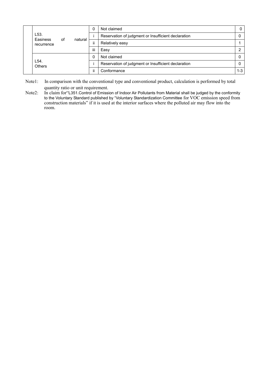|  | L <sub>53</sub> .<br>Easiness<br>recurrence | οf | natural |                                                     | Not claimed                                         | 0       |
|--|---------------------------------------------|----|---------|-----------------------------------------------------|-----------------------------------------------------|---------|
|  |                                             |    |         |                                                     | Reservation of judgment or Insufficient declaration |         |
|  |                                             |    |         | <br>Ш                                               | Relatively easy                                     |         |
|  |                                             |    |         | iii                                                 | Easy                                                |         |
|  |                                             |    |         |                                                     | Not claimed                                         |         |
|  | L54<br><b>Others</b>                        |    |         | Reservation of judgment or Insufficient declaration |                                                     |         |
|  |                                             |    |         | ii                                                  | Conformance                                         | $1 - 3$ |

Note1: In comparison with the conventional type and conventional product, calculation is performed by total quantity ratio or unit requirement.

Note2: In claim for "L351.Control of Emission of Indoor Air Pollutants from Material shall be judged by the conformity to the Voluntary Standard published by "Voluntary Standardization Committee for VOC emission speed from construction materials" if it is used at the interior surfaces where the polluted air may flow into the room.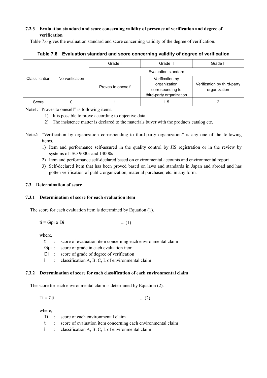### 7.2.3 Evaluation standard and score concerning validity of presence of verification and degree of verification

Table 7.6 gives the evaluation standard and score concerning validity of the degree of verification.

|                | No verification | Grade I             | Grade II                                                                        | Grade II                                    |  |
|----------------|-----------------|---------------------|---------------------------------------------------------------------------------|---------------------------------------------|--|
|                |                 | Evaluation standard |                                                                                 |                                             |  |
| Classification |                 | Proves to oneself   | Verification by<br>organization<br>corresponding to<br>third-party organization | Verification by third-party<br>organization |  |
| Score          |                 |                     | 1.5                                                                             |                                             |  |

Table 7.6 Evaluation standard and score concerning validity of degree of verification

Note1: "Proves to oneself" is following items.

- 1) It is possible to prove according to objective data.
- 2) The insistence matter is declared to the materials buyer with the products catalog etc.
- Note2: "Verification by organization corresponding to third-party organization" is any one of the following items.
	- 1) Item and performance self-assured in the quality control by JIS registration or in the review by systems of ISO 9000s and 14000s
	- 2) Item and performance self-declared based on environmental accounts and environmental report
	- 3) Self-declared item that has been proved based on laws and standards in Japan and abroad and has gotten verification of public organization, material purchaser, etc. in any form.

#### 7.3 Determination of score

#### 7.3.1 Determination of score for each evaluation item

The score for each evaluation item is determined by Equation (1).

$$
ti = Gpi \times Di
$$
 ... (1)

where,

- ti : score of evaluation item concerning each environmental claim
- Gpi : score of grade in each evaluation item
- Di : score of grade of degree of verification
- i : classification A, B, C, L of environmental claim

#### 7.3.2 Determination of score for each classification of each environmental claim

The score for each environmental claim is determined by Equation (2).

$$
Ti = \Sigma ti \tag{2}
$$

where,

|  | Ti: score of each environmental claim                             |
|--|-------------------------------------------------------------------|
|  | ti : score of evaluation item concerning each environmental claim |
|  | $i$ : classification A, B, C, L of environmental claim            |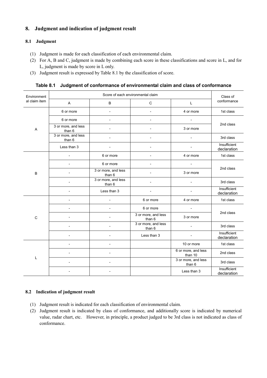# 8. Judgment and indication of judgment result

#### 8.1 Judgment

- (1) Judgment is made for each classification of each environmental claim.
- (2) For A, B and C, judgment is made by combining each score in these classifications and score in L, and for L, judgment is made by score in L only.
- (3) Judgment result is expressed by Table 8.1 by the classification of score.

Table 8.1 Judgment of conformance of environmental claim and class of conformance

| Environment   |                               | Class of                      |                               |                                |                             |  |
|---------------|-------------------------------|-------------------------------|-------------------------------|--------------------------------|-----------------------------|--|
| al claim item | A                             | B                             | $\mathbf C$                   | L                              | conformance                 |  |
|               | 6 or more                     | $\overline{\phantom{a}}$      | $\overline{\phantom{a}}$      | 4 or more                      | 1st class                   |  |
|               | 6 or more                     |                               |                               |                                | 2nd class                   |  |
| A             | 3 or more, and less<br>than 6 |                               |                               | 3 or more                      |                             |  |
|               | 3 or more, and less<br>than 6 |                               |                               |                                | 3rd class                   |  |
|               | Less than 3                   |                               |                               |                                | Insufficient<br>declaration |  |
|               |                               | 6 or more                     |                               | 4 or more                      | 1st class                   |  |
|               |                               | 6 or more                     |                               |                                | 2nd class                   |  |
| B             |                               | 3 or more, and less<br>than 6 |                               | 3 or more                      |                             |  |
|               |                               | 3 or more, and less<br>than 6 |                               |                                | 3rd class                   |  |
|               |                               | Less than 3                   |                               | $\overline{\phantom{a}}$       | Insufficient<br>declaration |  |
|               |                               |                               | 6 or more                     | 4 or more                      | 1st class                   |  |
|               |                               |                               | 6 or more                     | $\blacksquare$                 |                             |  |
| $\mathsf{C}$  |                               |                               | 3 or more, and less<br>than 6 | 3 or more                      | 2nd class                   |  |
|               |                               |                               | 3 or more, and less<br>than 6 | $\blacksquare$                 | 3rd class                   |  |
|               |                               | $\overline{a}$                | Less than 3                   | $\overline{\phantom{0}}$       | Insufficient<br>declaration |  |
|               |                               | $\overline{a}$                |                               | 10 or more                     | 1st class                   |  |
|               |                               |                               |                               | 6 or more, and less<br>than 10 | 2nd class                   |  |
| L             |                               |                               |                               | 3 or more, and less<br>than 6  | 3rd class                   |  |
|               |                               |                               |                               | Less than 3                    | Insufficient<br>declaration |  |

#### 8.2 Indication of judgment result

- (1) Judgment result is indicated for each classification of environmental claim.
- (2) Judgment result is indicated by class of conformance, and additionally score is indicated by numerical value, radar chart, etc. However, in principle, a product judged to be 3rd class is not indicated as class of conformance.